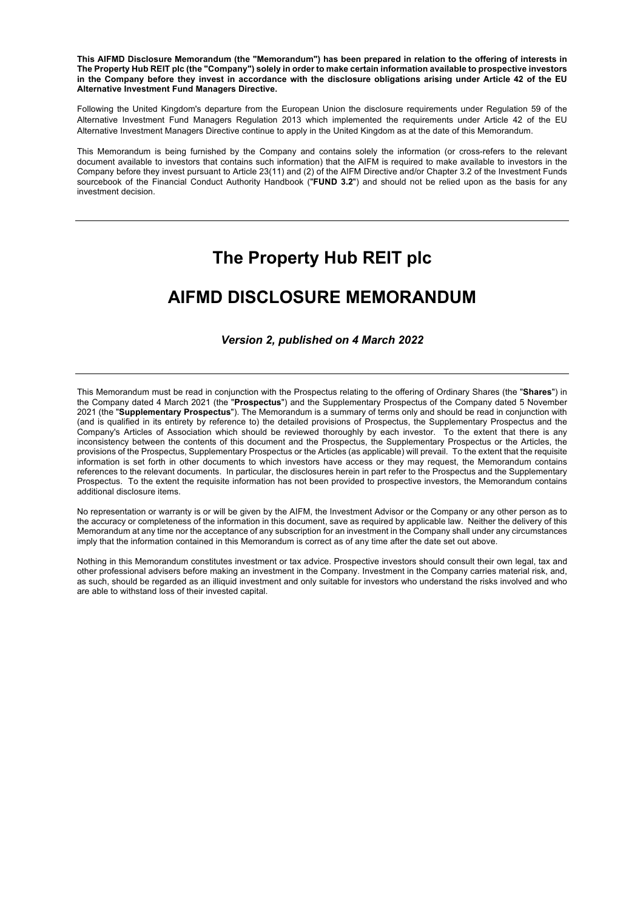**This AIFMD Disclosure Memorandum (the "Memorandum") has been prepared in relation to the offering of interests in The Property Hub REIT plc (the "Company") solely in order to make certain information available to prospective investors in the Company before they invest in accordance with the disclosure obligations arising under Article 42 of the EU Alternative Investment Fund Managers Directive.**

Following the United Kingdom's departure from the European Union the disclosure requirements under Regulation 59 of the Alternative Investment Fund Managers Regulation 2013 which implemented the requirements under Article 42 of the EU Alternative Investment Managers Directive continue to apply in the United Kingdom as at the date of this Memorandum.

This Memorandum is being furnished by the Company and contains solely the information (or cross-refers to the relevant document available to investors that contains such information) that the AIFM is required to make available to investors in the Company before they invest pursuant to Article 23(11) and (2) of the AIFM Directive and/or Chapter 3.2 of the Investment Funds sourcebook of the Financial Conduct Authority Handbook ("**FUND 3.2**") and should not be relied upon as the basis for any investment decision.

## **The Property Hub REIT plc**

## **AIFMD DISCLOSURE MEMORANDUM**

## *Version 2, published on 4 March 2022*

This Memorandum must be read in conjunction with the Prospectus relating to the offering of Ordinary Shares (the "**Shares**") in the Company dated 4 March 2021 (the "**Prospectus**") and the Supplementary Prospectus of the Company dated 5 November 2021 (the "**Supplementary Prospectus**"). The Memorandum is a summary of terms only and should be read in conjunction with (and is qualified in its entirety by reference to) the detailed provisions of Prospectus, the Supplementary Prospectus and the Company's Articles of Association which should be reviewed thoroughly by each investor. To the extent that there is any inconsistency between the contents of this document and the Prospectus, the Supplementary Prospectus or the Articles, the provisions of the Prospectus, Supplementary Prospectus or the Articles (as applicable) will prevail. To the extent that the requisite information is set forth in other documents to which investors have access or they may request, the Memorandum contains references to the relevant documents. In particular, the disclosures herein in part refer to the Prospectus and the Supplementary Prospectus. To the extent the requisite information has not been provided to prospective investors, the Memorandum contains additional disclosure items.

No representation or warranty is or will be given by the AIFM, the Investment Advisor or the Company or any other person as to the accuracy or completeness of the information in this document, save as required by applicable law. Neither the delivery of this Memorandum at any time nor the acceptance of any subscription for an investment in the Company shall under any circumstances imply that the information contained in this Memorandum is correct as of any time after the date set out above.

Nothing in this Memorandum constitutes investment or tax advice. Prospective investors should consult their own legal, tax and other professional advisers before making an investment in the Company. Investment in the Company carries material risk, and, as such, should be regarded as an illiquid investment and only suitable for investors who understand the risks involved and who are able to withstand loss of their invested capital.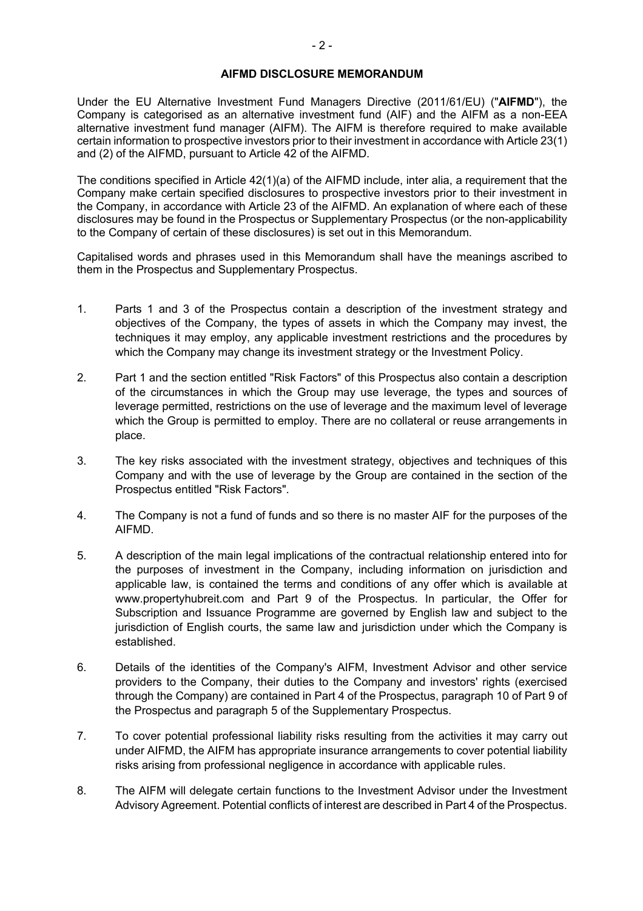## **AIFMD DISCLOSURE MEMORANDUM**

Under the EU Alternative Investment Fund Managers Directive (2011/61/EU) ("**AIFMD**"), the Company is categorised as an alternative investment fund (AIF) and the AIFM as a non-EEA alternative investment fund manager (AIFM). The AIFM is therefore required to make available certain information to prospective investors prior to their investment in accordance with Article 23(1) and (2) of the AIFMD, pursuant to Article 42 of the AIFMD.

The conditions specified in Article 42(1)(a) of the AIFMD include, inter alia, a requirement that the Company make certain specified disclosures to prospective investors prior to their investment in the Company, in accordance with Article 23 of the AIFMD. An explanation of where each of these disclosures may be found in the Prospectus or Supplementary Prospectus (or the non-applicability to the Company of certain of these disclosures) is set out in this Memorandum.

Capitalised words and phrases used in this Memorandum shall have the meanings ascribed to them in the Prospectus and Supplementary Prospectus.

- 1. Parts 1 and 3 of the Prospectus contain a description of the investment strategy and objectives of the Company, the types of assets in which the Company may invest, the techniques it may employ, any applicable investment restrictions and the procedures by which the Company may change its investment strategy or the Investment Policy.
- 2. Part 1 and the section entitled "Risk Factors" of this Prospectus also contain a description of the circumstances in which the Group may use leverage, the types and sources of leverage permitted, restrictions on the use of leverage and the maximum level of leverage which the Group is permitted to employ. There are no collateral or reuse arrangements in place.
- 3. The key risks associated with the investment strategy, objectives and techniques of this Company and with the use of leverage by the Group are contained in the section of the Prospectus entitled "Risk Factors".
- 4. The Company is not a fund of funds and so there is no master AIF for the purposes of the AIFMD.
- 5. A description of the main legal implications of the contractual relationship entered into for the purposes of investment in the Company, including information on jurisdiction and applicable law, is contained the terms and conditions of any offer which is available at www.propertyhubreit.com and Part 9 of the Prospectus. In particular, the Offer for Subscription and Issuance Programme are governed by English law and subject to the jurisdiction of English courts, the same law and jurisdiction under which the Company is established.
- 6. Details of the identities of the Company's AIFM, Investment Advisor and other service providers to the Company, their duties to the Company and investors' rights (exercised through the Company) are contained in Part 4 of the Prospectus, paragraph 10 of Part 9 of the Prospectus and paragraph 5 of the Supplementary Prospectus.
- 7. To cover potential professional liability risks resulting from the activities it may carry out under AIFMD, the AIFM has appropriate insurance arrangements to cover potential liability risks arising from professional negligence in accordance with applicable rules.
- 8. The AIFM will delegate certain functions to the Investment Advisor under the Investment Advisory Agreement. Potential conflicts of interest are described in Part 4 of the Prospectus.